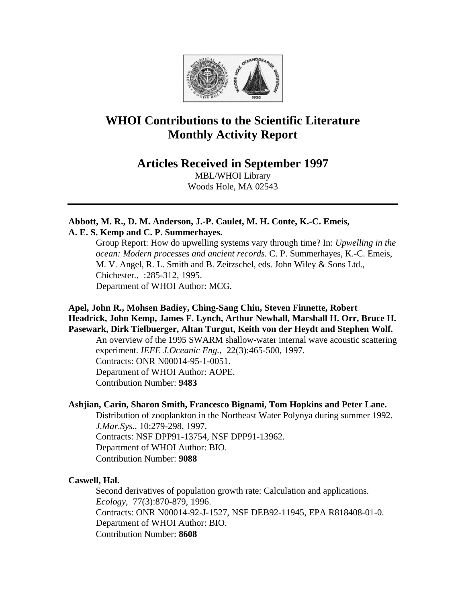

# **WHOI Contributions to the Scientific Literature Monthly Activity Report**

**Articles Received in September 1997**

MBL/WHOI Library Woods Hole, MA 02543

## **Abbott, M. R., D. M. Anderson, J.-P. Caulet, M. H. Conte, K.-C. Emeis, A. E. S. Kemp and C. P. Summerhayes.**

Group Report: How do upwelling systems vary through time? In: *Upwelling in the ocean: Modern processes and ancient records.* C. P. Summerhayes, K.-C. Emeis, M. V. Angel, R. L. Smith and B. Zeitzschel, eds. John Wiley & Sons Ltd., Chichester*.*, :285-312, 1995. Department of WHOI Author: MCG.

## **Apel, John R., Mohsen Badiey, Ching-Sang Chiu, Steven Finnette, Robert Headrick, John Kemp, James F. Lynch, Arthur Newhall, Marshall H. Orr, Bruce H. Pasewark, Dirk Tielbuerger, Altan Turgut, Keith von der Heydt and Stephen Wolf.**

An overview of the 1995 SWARM shallow-water internal wave acoustic scattering experiment. *IEEE J.Oceanic Eng.*, 22(3):465-500, 1997. Contracts: ONR N00014-95-1-0051. Department of WHOI Author: AOPE. Contribution Number: **9483**

# **Ashjian, Carin, Sharon Smith, Francesco Bignami, Tom Hopkins and Peter Lane.**

Distribution of zooplankton in the Northeast Water Polynya during summer 1992. *J.Mar.Sys.*, 10:279-298, 1997. Contracts: NSF DPP91-13754, NSF DPP91-13962. Department of WHOI Author: BIO. Contribution Number: **9088**

# **Caswell, Hal.**

Second derivatives of population growth rate: Calculation and applications. *Ecology*, 77(3):870-879, 1996. Contracts: ONR N00014-92-J-1527, NSF DEB92-11945, EPA R818408-01-0. Department of WHOI Author: BIO. Contribution Number: **8608**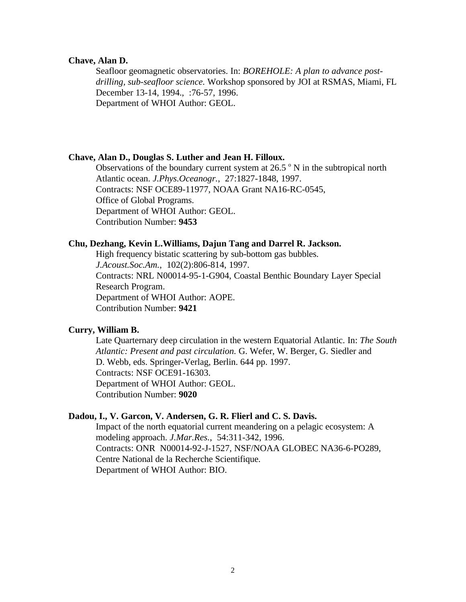### **Chave, Alan D.**

Seafloor geomagnetic observatories. In: *BOREHOLE: A plan to advance postdrilling, sub-seafloor science.* Workshop sponsored by JOI at RSMAS, Miami, FL December 13-14, 1994., :76-57, 1996. Department of WHOI Author: GEOL.

#### **Chave, Alan D., Douglas S. Luther and Jean H. Filloux.**

Observations of the boundary current system at 26.5 $\degree$  N in the subtropical north Atlantic ocean. *J.Phys.Oceanogr.*, 27:1827-1848, 1997. Contracts: NSF OCE89-11977, NOAA Grant NA16-RC-0545, Office of Global Programs. Department of WHOI Author: GEOL. Contribution Number: **9453**

## **Chu, Dezhang, Kevin L.Williams, Dajun Tang and Darrel R. Jackson.**

High frequency bistatic scattering by sub-bottom gas bubbles. *J.Acoust.Soc.Am.*, 102(2):806-814, 1997. Contracts: NRL N00014-95-1-G904, Coastal Benthic Boundary Layer Special Research Program. Department of WHOI Author: AOPE. Contribution Number: **9421**

# **Curry, William B.**

Late Quarternary deep circulation in the western Equatorial Atlantic. In: *The South Atlantic: Present and past circulation.* G. Wefer, W. Berger, G. Siedler and D. Webb, eds. Springer-Verlag, Berlin. 644 pp. 1997. Contracts: NSF OCE91-16303. Department of WHOI Author: GEOL. Contribution Number: **9020**

### **Dadou, I., V. Garcon, V. Andersen, G. R. Flierl and C. S. Davis.**

Impact of the north equatorial current meandering on a pelagic ecosystem: A modeling approach. *J.Mar.Res.*, 54:311-342, 1996. Contracts: ONR N00014-92-J-1527, NSF/NOAA GLOBEC NA36-6-PO289, Centre National de la Recherche Scientifique. Department of WHOI Author: BIO.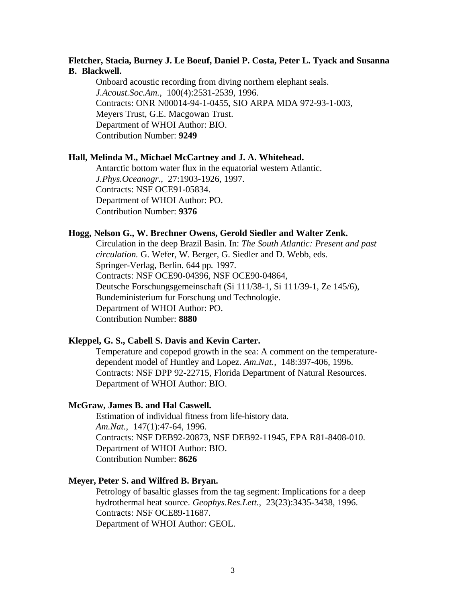## **Fletcher, Stacia, Burney J. Le Boeuf, Daniel P. Costa, Peter L. Tyack and Susanna B. Blackwell.**

Onboard acoustic recording from diving northern elephant seals. *J.Acoust.Soc.Am.*, 100(4):2531-2539, 1996. Contracts: ONR N00014-94-1-0455, SIO ARPA MDA 972-93-1-003, Meyers Trust, G.E. Macgowan Trust. Department of WHOI Author: BIO. Contribution Number: **9249**

#### **Hall, Melinda M., Michael McCartney and J. A. Whitehead.**

Antarctic bottom water flux in the equatorial western Atlantic. *J.Phys.Oceanogr.*, 27:1903-1926, 1997. Contracts: NSF OCE91-05834. Department of WHOI Author: PO. Contribution Number: **9376**

#### **Hogg, Nelson G., W. Brechner Owens, Gerold Siedler and Walter Zenk.**

Circulation in the deep Brazil Basin. In: *The South Atlantic: Present and past circulation.* G. Wefer, W. Berger, G. Siedler and D. Webb, eds. Springer-Verlag, Berlin. 644 pp*.* 1997. Contracts: NSF OCE90-04396, NSF OCE90-04864, Deutsche Forschungsgemeinschaft (Si 111/38-1, Si 111/39-1, Ze 145/6), Bundeministerium fur Forschung und Technologie. Department of WHOI Author: PO. Contribution Number: **8880**

## **Kleppel, G. S., Cabell S. Davis and Kevin Carter.**

Temperature and copepod growth in the sea: A comment on the temperaturedependent model of Huntley and Lopez. *Am.Nat.*, 148:397-406, 1996. Contracts: NSF DPP 92-22715, Florida Department of Natural Resources. Department of WHOI Author: BIO.

#### **McGraw, James B. and Hal Caswell.**

Estimation of individual fitness from life-history data. *Am.Nat.*, 147(1):47-64, 1996. Contracts: NSF DEB92-20873, NSF DEB92-11945, EPA R81-8408-010. Department of WHOI Author: BIO. Contribution Number: **8626**

## **Meyer, Peter S. and Wilfred B. Bryan.**

Petrology of basaltic glasses from the tag segment: Implications for a deep hydrothermal heat source. *Geophys.Res.Lett.*, 23(23):3435-3438, 1996. Contracts: NSF OCE89-11687. Department of WHOI Author: GEOL.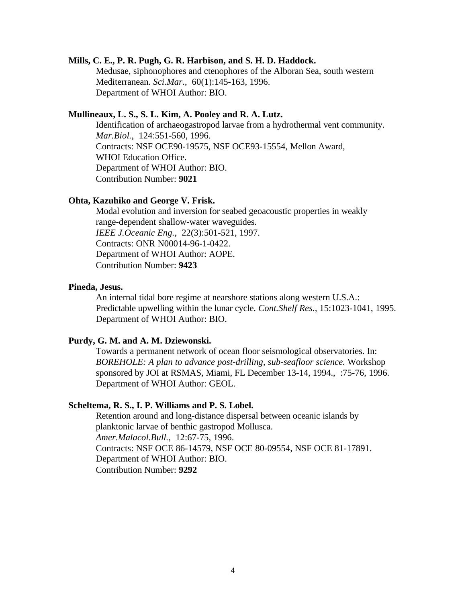#### **Mills, C. E., P. R. Pugh, G. R. Harbison, and S. H. D. Haddock.**

Medusae, siphonophores and ctenophores of the Alboran Sea, south western Mediterranean. *Sci.Mar.*, 60(1):145-163, 1996. Department of WHOI Author: BIO.

### **Mullineaux, L. S., S. L. Kim, A. Pooley and R. A. Lutz.**

Identification of archaeogastropod larvae from a hydrothermal vent community. *Mar.Biol.*, 124:551-560, 1996. Contracts: NSF OCE90-19575, NSF OCE93-15554, Mellon Award, WHOI Education Office. Department of WHOI Author: BIO. Contribution Number: **9021**

## **Ohta, Kazuhiko and George V. Frisk.**

Modal evolution and inversion for seabed geoacoustic properties in weakly range-dependent shallow-water waveguides. *IEEE J.Oceanic Eng.*, 22(3):501-521, 1997. Contracts: ONR N00014-96-1-0422. Department of WHOI Author: AOPE. Contribution Number: **9423**

#### **Pineda, Jesus.**

An internal tidal bore regime at nearshore stations along western U.S.A.: Predictable upwelling within the lunar cycle. *Cont.Shelf Res.,* 15:1023-1041, 1995. Department of WHOI Author: BIO.

### **Purdy, G. M. and A. M. Dziewonski.**

Towards a permanent network of ocean floor seismological observatories. In: *BOREHOLE: A plan to advance post-drilling, sub-seafloor science.* Workshop sponsored by JOI at RSMAS, Miami, FL December 13-14, 1994., :75-76, 1996. Department of WHOI Author: GEOL.

#### **Scheltema, R. S., I. P. Williams and P. S. Lobel.**

Retention around and long-distance dispersal between oceanic islands by planktonic larvae of benthic gastropod Mollusca. *Amer.Malacol.Bull.*, 12:67-75, 1996. Contracts: NSF OCE 86-14579, NSF OCE 80-09554, NSF OCE 81-17891. Department of WHOI Author: BIO. Contribution Number: **9292**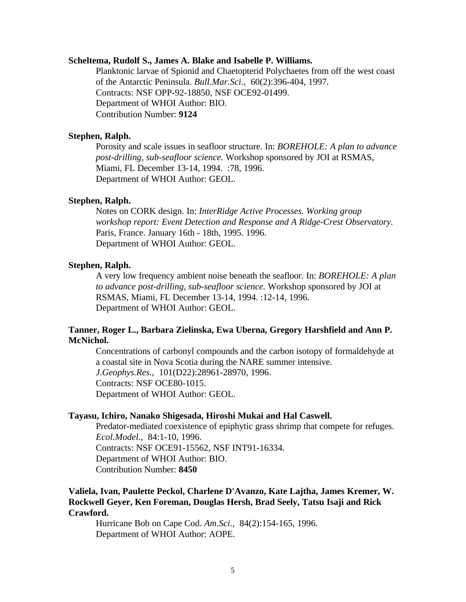#### **Scheltema, Rudolf S., James A. Blake and Isabelle P. Williams.**

Planktonic larvae of Spionid and Chaetopterid Polychaetes from off the west coast of the Antarctic Peninsula. *Bull.Mar.Sci.*, 60(2):396-404, 1997. Contracts: NSF OPP-92-18850, NSF OCE92-01499. Department of WHOI Author: BIO. Contribution Number: **9124**

#### **Stephen, Ralph.**

Porosity and scale issues in seafloor structure. In: *BOREHOLE: A plan to advance post-drilling, sub-seafloor science.* Workshop sponsored by JOI at RSMAS, Miami, FL December 13-14, 1994. :78, 1996. Department of WHOI Author: GEOL.

### **Stephen, Ralph.**

Notes on CORK design. In: *InterRidge Active Processes. Working group workshop report: Event Detection and Response and A Ridge-Crest Observatory.* Paris, France. January 16th - 18th, 1995. 1996. Department of WHOI Author: GEOL.

## **Stephen, Ralph.**

A very low frequency ambient noise beneath the seafloor. In: *BOREHOLE: A plan to advance post-drilling, sub-seafloor science.* Workshop sponsored by JOI at RSMAS, Miami, FL December 13-14, 1994. :12-14, 1996. Department of WHOI Author: GEOL.

## **Tanner, Roger L., Barbara Zielinska, Ewa Uberna, Gregory Harshfield and Ann P. McNichol.**

Concentrations of carbonyl compounds and the carbon isotopy of formaldehyde at a coastal site in Nova Scotia during the NARE summer intensive. *J.Geophys.Res.*, 101(D22):28961-28970, 1996. Contracts: NSF OCE80-1015. Department of WHOI Author: GEOL.

#### **Tayasu, Ichiro, Nanako Shigesada, Hiroshi Mukai and Hal Caswell.**

Predator-mediated coexistence of epiphytic grass shrimp that compete for refuges. *Ecol.Model.*, 84:1-10, 1996. Contracts: NSF OCE91-15562, NSF INT91-16334. Department of WHOI Author: BIO. Contribution Number: **8450**

## **Valiela, Ivan, Paulette Peckol, Charlene D'Avanzo, Kate Lajtha, James Kremer, W. Rockwell Geyer, Ken Foreman, Douglas Hersh, Brad Seely, Tatsu Isaji and Rick Crawford.**

Hurricane Bob on Cape Cod. *Am.Sci.*, 84(2):154-165, 1996. Department of WHOI Author: AOPE.